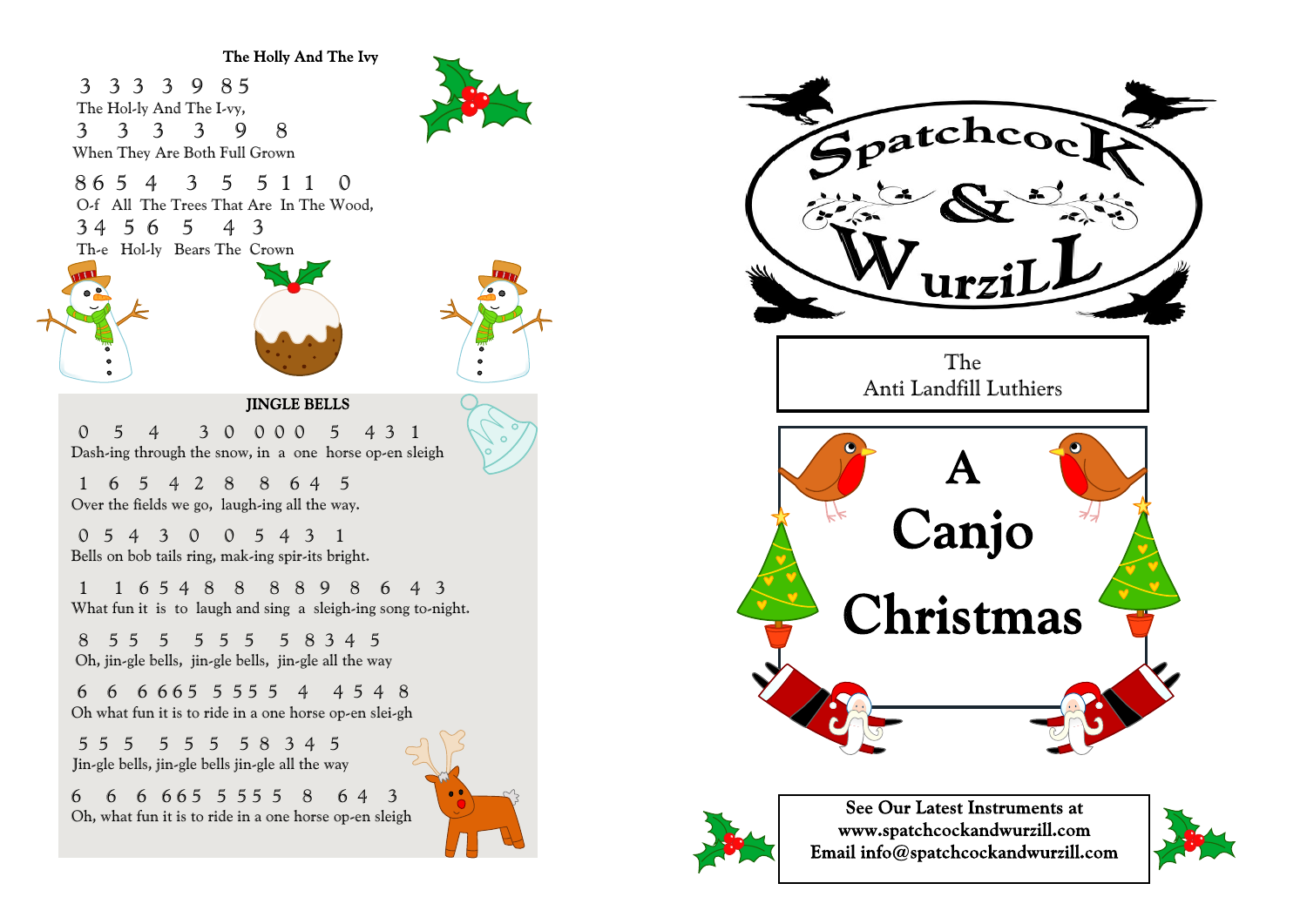The Holly And The Ivy

3 3 3 3 9 8 5 The Hol-ly And The I-vy, 3 3 3 3 9 8 When They Are Both Full Grown

8 6 5 4 3 5 5 1 1 0 O-f All The Trees That Are In The Wood, 3 4 5 6 5 4 3 Th-e Hol-ly Bears The Crown







## **JINGLE BELLS**

 0 5 4 3 0 0 0 0 5 4 3 1 Dash-ing through the snow, in a one horse op-en sleigh

 1 6 5 4 2 8 8 6 4 5 Over the fields we go, laugh-ing all the way.

 0 5 4 3 0 0 5 4 3 1 Bells on bob tails ring, mak-ing spir-its bright.

 1 1 6 5 4 8 8 8 8 9 8 6 4 3 What fun it is to laugh and sing a sleigh-ing song to-night.

 8 5 5 5 5 5 5 5 8 3 4 5 Oh, jin-gle bells, jin-gle bells, jin-gle all the way

 6 6 6 6 6 5 5 5 5 5 4 4 5 4 8 Oh what fun it is to ride in a one horse op-en slei-gh

 5 5 5 5 5 5 5 8 3 4 5 Jin-gle bells, jin-gle bells jin-gle all the way

6 6 6 6 6 5 5 5 5 5 8 6 4 3 Oh, what fun it is to ride in a one horse op-en sleigh







See Our Latest Instruments at www.spatchcockandwurzill.com Email info@spatchcockandwurzill.com